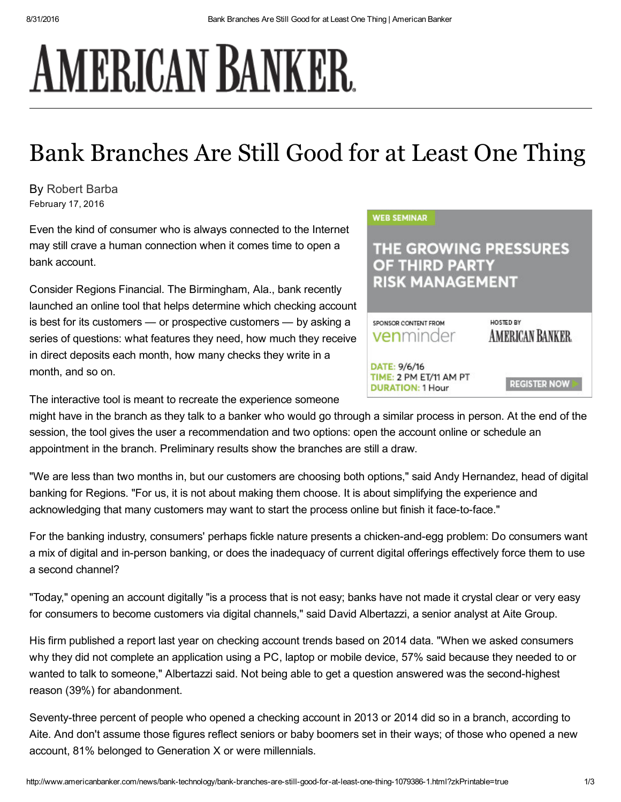## **AMERICAN BANKER**

## Bank Branches Are Still Good for at Least One Thing

By [Robert](http://www.americanbanker.com/authors/27.html) Barba February 17, 2016

Even the kind of consumer who is always connected to the Internet may still crave a human connection when it comes time to open a bank account.

Consider Regions Financial. The Birmingham, Ala., bank recently launched an online tool that helps determine which checking account is best for its customers — or prospective customers — by asking a series of questions: what features they need, how much they receive in direct deposits each month, how many checks they write in a month, and so on.

The interactive tool is meant to recreate the experience someone

might have in the branch as they talk to a banker who would go through a similar process in person. At the end of the session, the tool gives the user a recommendation and two options: open the account online or schedule an appointment in the branch. Preliminary results show the branches are still a draw.

"We are less than two months in, but our customers are choosing both options," said Andy Hernandez, head of digital banking for Regions. "For us, it is not about making them choose. It is about simplifying the experience and acknowledging that many customers may want to start the process online but finish it face-to-face."

For the banking industry, consumers' perhaps fickle nature presents a chicken-and-egg problem: Do consumers want a mix of digital and in-person banking, or does the inadequacy of current digital offerings effectively force them to use a second channel?

"Today," opening an account digitally "is a process that is not easy; banks have not made it crystal clear or very easy for consumers to become customers via digital channels," said David Albertazzi, a senior analyst at Aite Group.

His firm published a report last year on checking account trends based on 2014 data. "When we asked consumers why they did not complete an application using a PC, laptop or mobile device, 57% said because they needed to or wanted to talk to someone," Albertazzi said. Not being able to get a question answered was the second-highest reason (39%) for abandonment.

Seventy-three percent of people who opened a checking account in 2013 or 2014 did so in a branch, according to Aite. And don't assume those figures reflect seniors or baby boomers set in their ways; of those who opened a new account, 81% belonged to Generation X or were millennials.

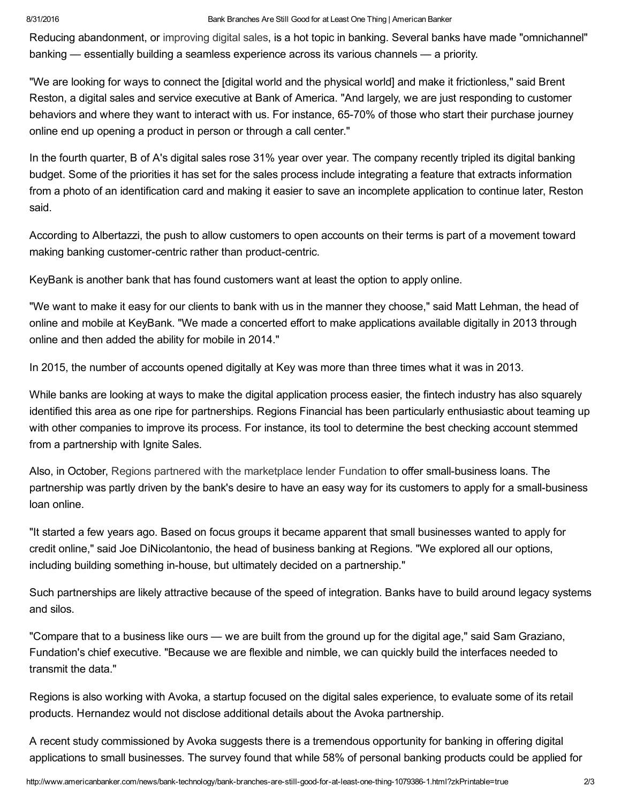## 8/31/2016 Bank Branches Are Still Good for at Least One Thing | American Banker

Reducing abandonment, or [improving](http://www.americanbanker.com/news/bank-technology/one-place-where-fintech-iisnti-trending-bank-earnings-calls-1079032-1.html) digital sales, is a hot topic in banking. Several banks have made "omnichannel" banking — essentially building a seamless experience across its various channels — a priority.

"We are looking for ways to connect the [digital world and the physical world] and make it frictionless," said Brent Reston, a digital sales and service executive at Bank of America. "And largely, we are just responding to customer behaviors and where they want to interact with us. For instance, 6570% of those who start their purchase journey online end up opening a product in person or through a call center."

In the fourth quarter, B of A's digital sales rose 31% year over year. The company recently tripled its digital banking budget. Some of the priorities it has set for the sales process include integrating a feature that extracts information from a photo of an identification card and making it easier to save an incomplete application to continue later, Reston said.

According to Albertazzi, the push to allow customers to open accounts on their terms is part of a movement toward making banking customer-centric rather than product-centric.

KeyBank is another bank that has found customers want at least the option to apply online.

"We want to make it easy for our clients to bank with us in the manner they choose," said Matt Lehman, the head of online and mobile at KeyBank. "We made a concerted effort to make applications available digitally in 2013 through online and then added the ability for mobile in 2014."

In 2015, the number of accounts opened digitally at Key was more than three times what it was in 2013.

While banks are looking at ways to make the digital application process easier, the fintech industry has also squarely identified this area as one ripe for partnerships. Regions Financial has been particularly enthusiastic about teaming up with other companies to improve its process. For instance, its tool to determine the best checking account stemmed from a partnership with Ignite Sales.

Also, in October, Regions partnered with the [marketplace](http://www.americanbanker.com/news/marketplace-lending/why-online-lenders-are-itching-for-faster-payments-1077149-1.html) lender Fundation to offer small-business loans. The partnership was partly driven by the bank's desire to have an easy way for its customers to apply for a small-business loan online.

"It started a few years ago. Based on focus groups it became apparent that small businesses wanted to apply for credit online," said Joe DiNicolantonio, the head of business banking at Regions. "We explored all our options, including building something in-house, but ultimately decided on a partnership."

Such partnerships are likely attractive because of the speed of integration. Banks have to build around legacy systems and silos.

"Compare that to a business like ours — we are built from the ground up for the digital age," said Sam Graziano, Fundation's chief executive. "Because we are flexible and nimble, we can quickly build the interfaces needed to transmit the data."

Regions is also working with Avoka, a startup focused on the digital sales experience, to evaluate some of its retail products. Hernandez would not disclose additional details about the Avoka partnership.

A recent study commissioned by Avoka suggests there is a tremendous opportunity for banking in offering digital applications to small businesses. The survey found that while 58% of personal banking products could be applied for